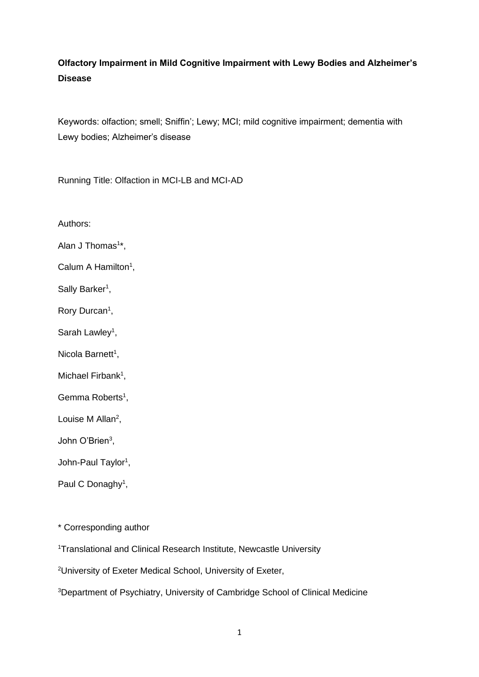# **Olfactory Impairment in Mild Cognitive Impairment with Lewy Bodies and Alzheimer's Disease**

Keywords: olfaction; smell; Sniffin'; Lewy; MCI; mild cognitive impairment; dementia with Lewy bodies; Alzheimer's disease

Running Title: Olfaction in MCI-LB and MCI-AD

Authors:

Alan J Thomas<sup>1\*</sup>,

Calum A Hamilton<sup>1</sup>,

Sally Barker<sup>1</sup>,

Rory Durcan<sup>1</sup>,

Sarah Lawley<sup>1</sup>,

Nicola Barnett<sup>1</sup>,

Michael Firbank<sup>1</sup>,

Gemma Roberts<sup>1</sup>,

Louise M Allan<sup>2</sup>,

John O'Brien<sup>3</sup>,

John-Paul Taylor<sup>1</sup>,

Paul C Donaghy<sup>1</sup>,

\* Corresponding author

<sup>1</sup>Translational and Clinical Research Institute, Newcastle University

<sup>2</sup>University of Exeter Medical School, University of Exeter,

3Department of Psychiatry, University of Cambridge School of Clinical Medicine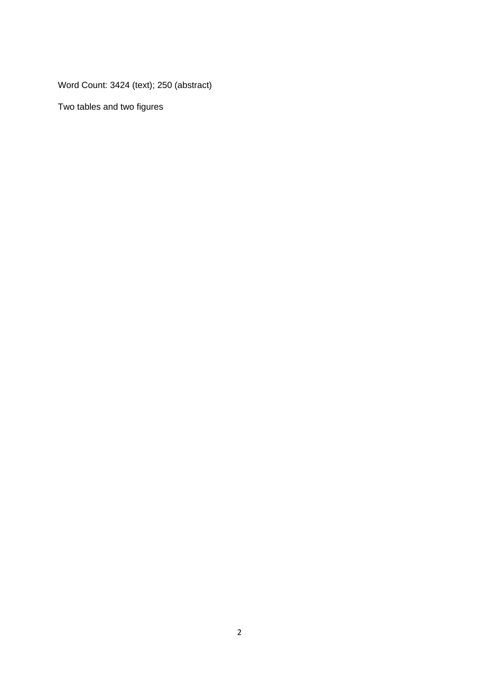Word Count: 3424 (text); 250 (abstract)

Two tables and two figures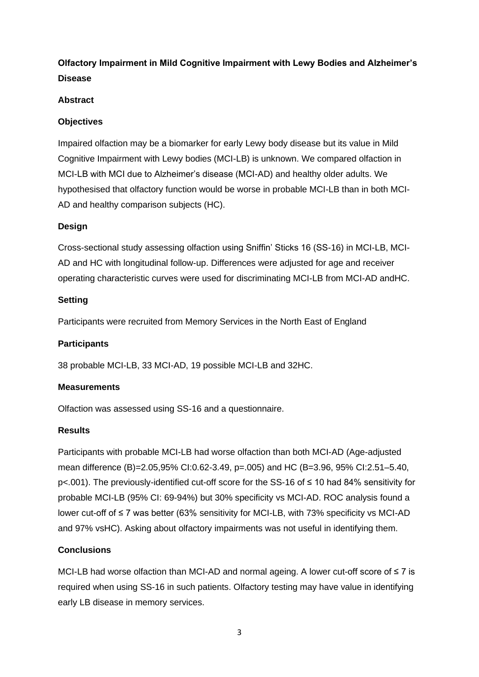# **Olfactory Impairment in Mild Cognitive Impairment with Lewy Bodies and Alzheimer's Disease**

# **Abstract**

# **Objectives**

Impaired olfaction may be a biomarker for early Lewy body disease but its value in Mild Cognitive Impairment with Lewy bodies (MCI-LB) is unknown. We compared olfaction in MCI-LB with MCI due to Alzheimer's disease (MCI-AD) and healthy older adults. We hypothesised that olfactory function would be worse in probable MCI-LB than in both MCI-AD and healthy comparison subjects (HC).

# **Design**

Cross-sectional study assessing olfaction using Sniffin' Sticks 16 (SS-16) in MCI-LB, MCI-AD and HC with longitudinal follow-up. Differences were adjusted for age and receiver operating characteristic curves were used for discriminating MCI-LB from MCI-AD andHC.

# **Setting**

Participants were recruited from Memory Services in the North East of England

# **Participants**

38 probable MCI-LB, 33 MCI-AD, 19 possible MCI-LB and 32HC.

# **Measurements**

Olfaction was assessed using SS-16 and a questionnaire.

# **Results**

Participants with probable MCI-LB had worse olfaction than both MCI-AD (Age-adjusted mean difference (B)=2.05,95% CI:0.62-3.49, p=.005) and HC (B=3.96, 95% CI:2.51–5.40, p<.001). The previously-identified cut-off score for the SS-16 of ≤ 10 had 84% sensitivity for probable MCI-LB (95% CI: 69-94%) but 30% specificity vs MCI-AD. ROC analysis found a lower cut-off of ≤ 7 was better (63% sensitivity for MCI-LB, with 73% specificity vs MCI-AD and 97% vsHC). Asking about olfactory impairments was not useful in identifying them.

# **Conclusions**

MCI-LB had worse olfaction than MCI-AD and normal ageing. A lower cut-off score of ≤ 7 is required when using SS-16 in such patients. Olfactory testing may have value in identifying early LB disease in memory services.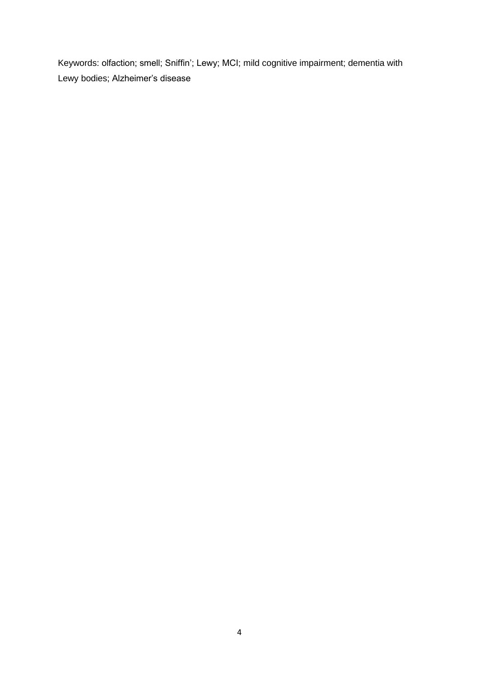Keywords: olfaction; smell; Sniffin'; Lewy; MCI; mild cognitive impairment; dementia with Lewy bodies; Alzheimer's disease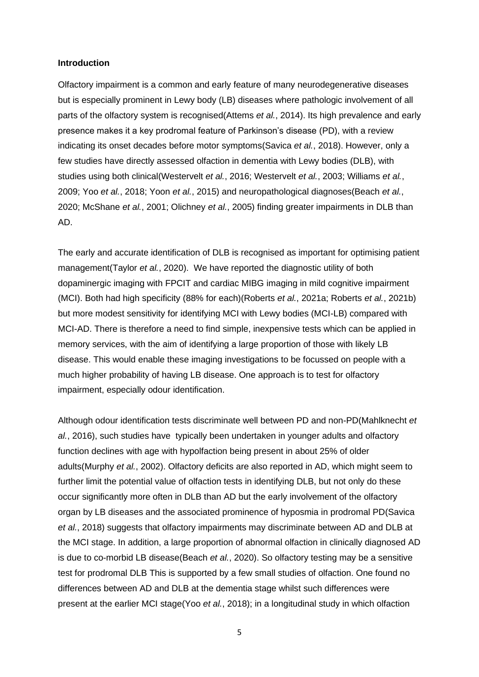### **Introduction**

Olfactory impairment is a common and early feature of many neurodegenerative diseases but is especially prominent in Lewy body (LB) diseases where pathologic involvement of all parts of the olfactory system is recognised(Attems *et al.*, 2014). Its high prevalence and early presence makes it a key prodromal feature of Parkinson's disease (PD), with a review indicating its onset decades before motor symptoms(Savica *et al.*, 2018). However, only a few studies have directly assessed olfaction in dementia with Lewy bodies (DLB), with studies using both clinical(Westervelt *et al.*, 2016; Westervelt *et al.*, 2003; Williams *et al.*, 2009; Yoo *et al.*, 2018; Yoon *et al.*, 2015) and neuropathological diagnoses(Beach *et al.*, 2020; McShane *et al.*, 2001; Olichney *et al.*, 2005) finding greater impairments in DLB than AD.

The early and accurate identification of DLB is recognised as important for optimising patient management(Taylor *et al.*, 2020). We have reported the diagnostic utility of both dopaminergic imaging with FPCIT and cardiac MIBG imaging in mild cognitive impairment (MCI). Both had high specificity (88% for each)(Roberts *et al.*, 2021a; Roberts *et al.*, 2021b) but more modest sensitivity for identifying MCI with Lewy bodies (MCI-LB) compared with MCI-AD. There is therefore a need to find simple, inexpensive tests which can be applied in memory services, with the aim of identifying a large proportion of those with likely LB disease. This would enable these imaging investigations to be focussed on people with a much higher probability of having LB disease. One approach is to test for olfactory impairment, especially odour identification.

Although odour identification tests discriminate well between PD and non-PD(Mahlknecht *et al.*, 2016), such studies have typically been undertaken in younger adults and olfactory function declines with age with hypolfaction being present in about 25% of older adults(Murphy *et al.*, 2002). Olfactory deficits are also reported in AD, which might seem to further limit the potential value of olfaction tests in identifying DLB, but not only do these occur significantly more often in DLB than AD but the early involvement of the olfactory organ by LB diseases and the associated prominence of hyposmia in prodromal PD(Savica *et al.*, 2018) suggests that olfactory impairments may discriminate between AD and DLB at the MCI stage. In addition, a large proportion of abnormal olfaction in clinically diagnosed AD is due to co-morbid LB disease(Beach *et al.*, 2020). So olfactory testing may be a sensitive test for prodromal DLB This is supported by a few small studies of olfaction. One found no differences between AD and DLB at the dementia stage whilst such differences were present at the earlier MCI stage(Yoo *et al.*, 2018); in a longitudinal study in which olfaction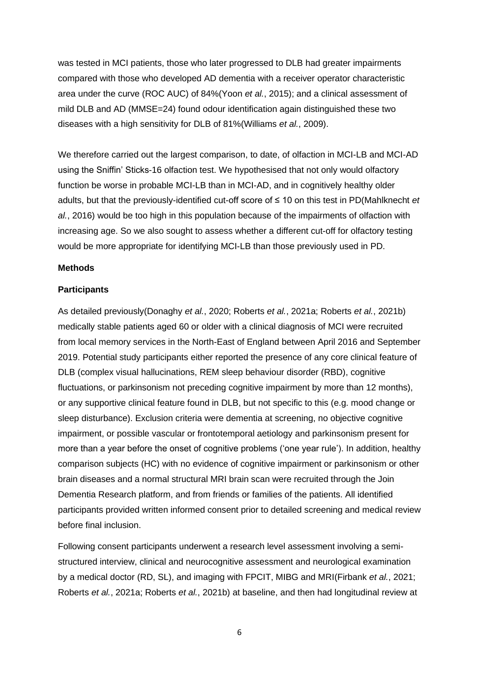was tested in MCI patients, those who later progressed to DLB had greater impairments compared with those who developed AD dementia with a receiver operator characteristic area under the curve (ROC AUC) of 84%(Yoon *et al.*, 2015); and a clinical assessment of mild DLB and AD (MMSE=24) found odour identification again distinguished these two diseases with a high sensitivity for DLB of 81%(Williams *et al.*, 2009).

We therefore carried out the largest comparison, to date, of olfaction in MCI-LB and MCI-AD using the Sniffin' Sticks-16 olfaction test. We hypothesised that not only would olfactory function be worse in probable MCI-LB than in MCI-AD, and in cognitively healthy older adults, but that the previously-identified cut-off score of ≤ 10 on this test in PD(Mahlknecht *et al.*, 2016) would be too high in this population because of the impairments of olfaction with increasing age. So we also sought to assess whether a different cut-off for olfactory testing would be more appropriate for identifying MCI-LB than those previously used in PD.

### **Methods**

### **Participants**

As detailed previously(Donaghy *et al.*, 2020; Roberts *et al.*, 2021a; Roberts *et al.*, 2021b) medically stable patients aged 60 or older with a clinical diagnosis of MCI were recruited from local memory services in the North-East of England between April 2016 and September 2019. Potential study participants either reported the presence of any core clinical feature of DLB (complex visual hallucinations, REM sleep behaviour disorder (RBD), cognitive fluctuations, or parkinsonism not preceding cognitive impairment by more than 12 months), or any supportive clinical feature found in DLB, but not specific to this (e.g. mood change or sleep disturbance). Exclusion criteria were dementia at screening, no objective cognitive impairment, or possible vascular or frontotemporal aetiology and parkinsonism present for more than a year before the onset of cognitive problems ('one year rule'). In addition, healthy comparison subjects (HC) with no evidence of cognitive impairment or parkinsonism or other brain diseases and a normal structural MRI brain scan were recruited through the Join Dementia Research platform, and from friends or families of the patients. All identified participants provided written informed consent prior to detailed screening and medical review before final inclusion.

Following consent participants underwent a research level assessment involving a semistructured interview, clinical and neurocognitive assessment and neurological examination by a medical doctor (RD, SL), and imaging with FPCIT, MIBG and MRI(Firbank *et al.*, 2021; Roberts *et al.*, 2021a; Roberts *et al.*, 2021b) at baseline, and then had longitudinal review at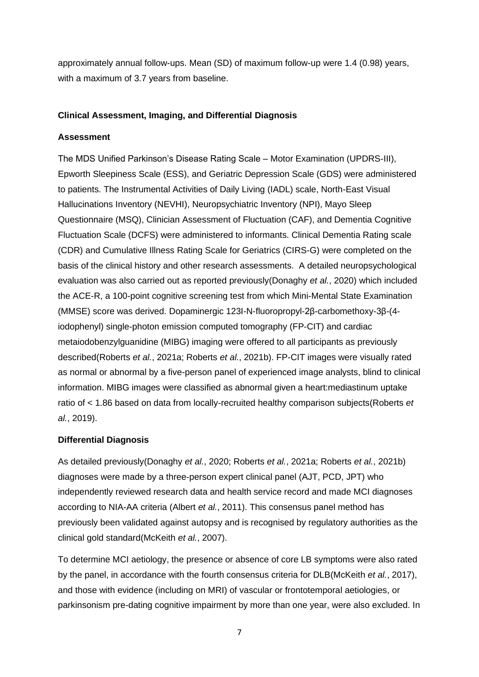approximately annual follow-ups. Mean (SD) of maximum follow-up were 1.4 (0.98) years, with a maximum of 3.7 years from baseline.

## **Clinical Assessment, Imaging, and Differential Diagnosis**

### **Assessment**

The MDS Unified Parkinson's Disease Rating Scale – Motor Examination (UPDRS-III), Epworth Sleepiness Scale (ESS), and Geriatric Depression Scale (GDS) were administered to patients. The Instrumental Activities of Daily Living (IADL) scale, North-East Visual Hallucinations Inventory (NEVHI), Neuropsychiatric Inventory (NPI), Mayo Sleep Questionnaire (MSQ), Clinician Assessment of Fluctuation (CAF), and Dementia Cognitive Fluctuation Scale (DCFS) were administered to informants. Clinical Dementia Rating scale (CDR) and Cumulative Illness Rating Scale for Geriatrics (CIRS-G) were completed on the basis of the clinical history and other research assessments. A detailed neuropsychological evaluation was also carried out as reported previously(Donaghy *et al.*, 2020) which included the ACE-R, a 100-point cognitive screening test from which Mini-Mental State Examination (MMSE) score was derived. Dopaminergic 123I-N-fluoropropyl-2β-carbomethoxy-3β-(4 iodophenyl) single-photon emission computed tomography (FP-CIT) and cardiac metaiodobenzylguanidine (MIBG) imaging were offered to all participants as previously described(Roberts *et al.*, 2021a; Roberts *et al.*, 2021b). FP-CIT images were visually rated as normal or abnormal by a five-person panel of experienced image analysts, blind to clinical information. MIBG images were classified as abnormal given a heart:mediastinum uptake ratio of < 1.86 based on data from locally-recruited healthy comparison subjects(Roberts *et al.*, 2019).

### **Differential Diagnosis**

As detailed previously(Donaghy *et al.*, 2020; Roberts *et al.*, 2021a; Roberts *et al.*, 2021b) diagnoses were made by a three-person expert clinical panel (AJT, PCD, JPT) who independently reviewed research data and health service record and made MCI diagnoses according to NIA-AA criteria (Albert *et al.*, 2011). This consensus panel method has previously been validated against autopsy and is recognised by regulatory authorities as the clinical gold standard(McKeith *et al.*, 2007).

To determine MCI aetiology, the presence or absence of core LB symptoms were also rated by the panel, in accordance with the fourth consensus criteria for DLB(McKeith *et al.*, 2017), and those with evidence (including on MRI) of vascular or frontotemporal aetiologies, or parkinsonism pre-dating cognitive impairment by more than one year, were also excluded. In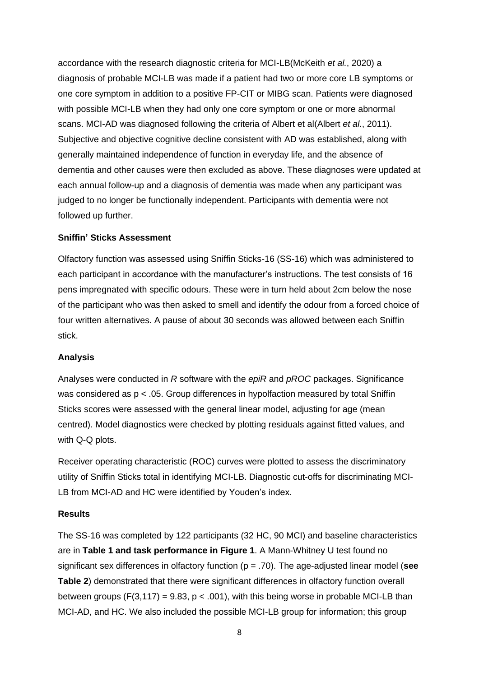accordance with the research diagnostic criteria for MCI-LB(McKeith *et al.*, 2020) a diagnosis of probable MCI-LB was made if a patient had two or more core LB symptoms or one core symptom in addition to a positive FP-CIT or MIBG scan. Patients were diagnosed with possible MCI-LB when they had only one core symptom or one or more abnormal scans. MCI-AD was diagnosed following the criteria of Albert et al(Albert *et al.*, 2011). Subjective and objective cognitive decline consistent with AD was established, along with generally maintained independence of function in everyday life, and the absence of dementia and other causes were then excluded as above. These diagnoses were updated at each annual follow-up and a diagnosis of dementia was made when any participant was judged to no longer be functionally independent. Participants with dementia were not followed up further.

### **Sniffin' Sticks Assessment**

Olfactory function was assessed using Sniffin Sticks-16 (SS-16) which was administered to each participant in accordance with the manufacturer's instructions. The test consists of 16 pens impregnated with specific odours. These were in turn held about 2cm below the nose of the participant who was then asked to smell and identify the odour from a forced choice of four written alternatives. A pause of about 30 seconds was allowed between each Sniffin stick.

### **Analysis**

Analyses were conducted in *R* software with the *epiR* and *pROC* packages. Significance was considered as p < .05. Group differences in hypolfaction measured by total Sniffin Sticks scores were assessed with the general linear model, adjusting for age (mean centred). Model diagnostics were checked by plotting residuals against fitted values, and with Q-Q plots.

Receiver operating characteristic (ROC) curves were plotted to assess the discriminatory utility of Sniffin Sticks total in identifying MCI-LB. Diagnostic cut-offs for discriminating MCI-LB from MCI-AD and HC were identified by Youden's index.

#### **Results**

The SS-16 was completed by 122 participants (32 HC, 90 MCI) and baseline characteristics are in **Table 1 and task performance in Figure 1**. A Mann-Whitney U test found no significant sex differences in olfactory function (p = .70). The age-adjusted linear model (**see Table 2**) demonstrated that there were significant differences in olfactory function overall between groups (F(3,117) = 9.83,  $p < .001$ ), with this being worse in probable MCI-LB than MCI-AD, and HC. We also included the possible MCI-LB group for information; this group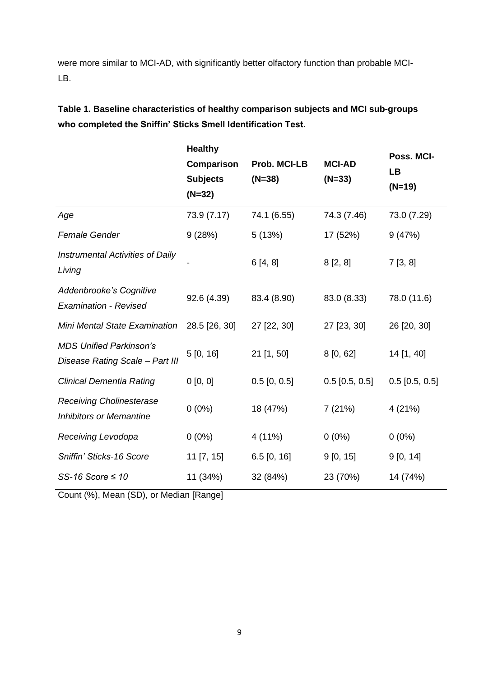were more similar to MCI-AD, with significantly better olfactory function than probable MCI-LB.

**Table 1. Baseline characteristics of healthy comparison subjects and MCI sub-groups who completed the Sniffin' Sticks Smell Identification Test.**

|                                                                   | <b>Healthy</b>    | Poss. MCI-               |                  |                       |  |
|-------------------------------------------------------------------|-------------------|--------------------------|------------------|-----------------------|--|
|                                                                   | <b>Comparison</b> | Prob. MCI-LB<br>$(N=38)$ | <b>MCI-AD</b>    | <b>LB</b><br>$(N=19)$ |  |
|                                                                   | <b>Subjects</b>   |                          | $(N=33)$         |                       |  |
|                                                                   | $(N=32)$          |                          |                  |                       |  |
| Age                                                               | 73.9 (7.17)       | 74.1 (6.55)              | 74.3 (7.46)      | 73.0 (7.29)           |  |
| <b>Female Gender</b>                                              | 9(28%)            | 5(13%)                   | 17 (52%)         | 9(47%)                |  |
| <b>Instrumental Activities of Daily</b><br>Living                 |                   | 6[4, 8]                  | 8[2, 8]          | 7[3, 8]               |  |
| Addenbrooke's Cognitive<br><b>Examination - Revised</b>           | 92.6 (4.39)       | 83.4 (8.90)              | 83.0 (8.33)      | 78.0 (11.6)           |  |
| Mini Mental State Examination                                     | 28.5 [26, 30]     | 27 [22, 30]              | 27 [23, 30]      | 26 [20, 30]           |  |
| <b>MDS Unified Parkinson's</b><br>Disease Rating Scale - Part III | 5[0, 16]          | $21$ [1, 50]             | 8[0, 62]         | 14 [1, 40]            |  |
| <b>Clinical Dementia Rating</b>                                   | 0 [0, 0]          | $0.5$ [0, 0.5]           | $0.5$ [0.5, 0.5] | $0.5$ [0.5, 0.5]      |  |
| <b>Receiving Cholinesterase</b><br><b>Inhibitors or Memantine</b> | $0(0\%)$          | 18 (47%)                 | 7(21%)           | 4 (21%)               |  |
| Receiving Levodopa                                                | $0(0\%)$          | 4 (11%)                  | $0(0\%)$         | $0(0\%)$              |  |
| Sniffin' Sticks-16 Score                                          | 11 [7, 15]        | $6.5$ [0, 16]            | 9[0, 15]         | 9[0, 14]              |  |
| SS-16 Score $\leq 10$                                             | 11 (34%)          | 32 (84%)                 | 23 (70%)         | 14 (74%)              |  |

Count (%), Mean (SD), or Median [Range]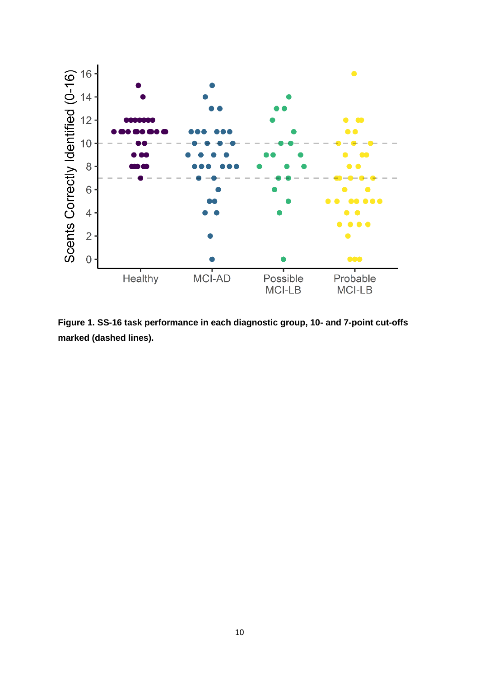

**Figure 1. SS-16 task performance in each diagnostic group, 10- and 7-point cut-offs marked (dashed lines).**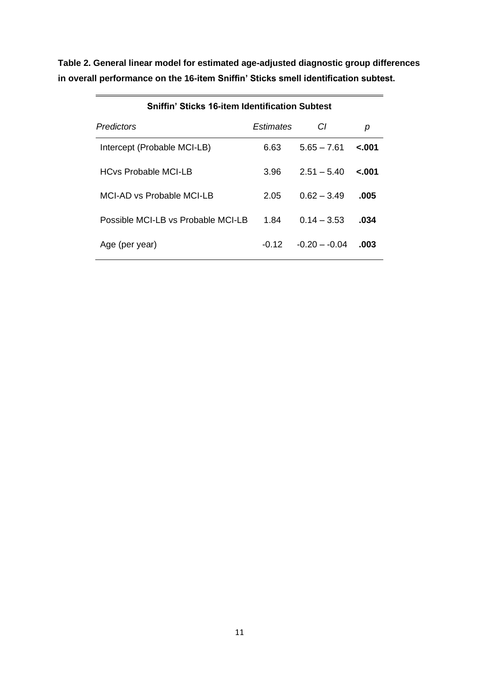**Table 2. General linear model for estimated age-adjusted diagnostic group differences in overall performance on the 16-item Sniffin' Sticks smell identification subtest.**

| <b>Sniffin' Sticks 16-item Identification Subtest</b> |           |                |         |  |  |
|-------------------------------------------------------|-----------|----------------|---------|--|--|
| Predictors                                            | Estimates | СI             | р       |  |  |
| Intercept (Probable MCI-LB)                           | 6.63      | $5.65 - 7.61$  | $-.001$ |  |  |
| <b>HCvs Probable MCI-LB</b>                           | 3.96      | $2.51 - 5.40$  | $-.001$ |  |  |
| MCI-AD vs Probable MCI-LB                             | 2.05      | $0.62 - 3.49$  | .005    |  |  |
| Possible MCI-LB vs Probable MCI-LB                    | 1.84      | $0.14 - 3.53$  | .034    |  |  |
| Age (per year)                                        | -0.12     | $-0.20 - 0.04$ | .003    |  |  |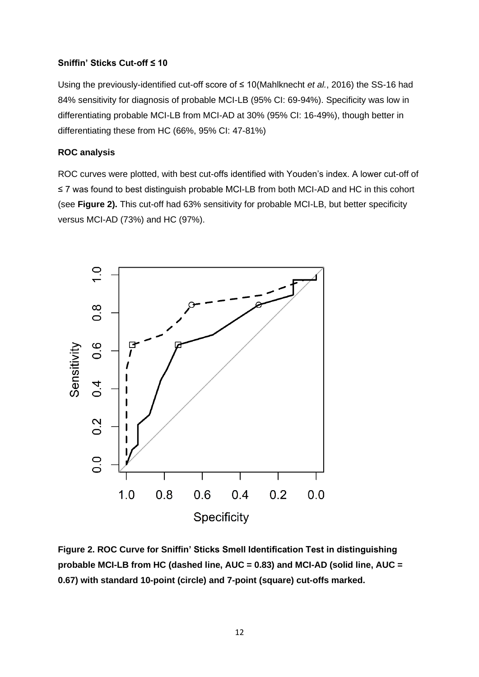## **Sniffin' Sticks Cut-off ≤ 10**

Using the previously-identified cut-off score of ≤ 10(Mahlknecht *et al.*, 2016) the SS-16 had 84% sensitivity for diagnosis of probable MCI-LB (95% CI: 69-94%). Specificity was low in differentiating probable MCI-LB from MCI-AD at 30% (95% CI: 16-49%), though better in differentiating these from HC (66%, 95% CI: 47-81%)

# **ROC analysis**

ROC curves were plotted, with best cut-offs identified with Youden's index. A lower cut-off of ≤ 7 was found to best distinguish probable MCI-LB from both MCI-AD and HC in this cohort (see **Figure 2).** This cut-off had 63% sensitivity for probable MCI-LB, but better specificity versus MCI-AD (73%) and HC (97%).



**Figure 2. ROC Curve for Sniffin' Sticks Smell Identification Test in distinguishing probable MCI-LB from HC (dashed line, AUC = 0.83) and MCI-AD (solid line, AUC = 0.67) with standard 10-point (circle) and 7-point (square) cut-offs marked.**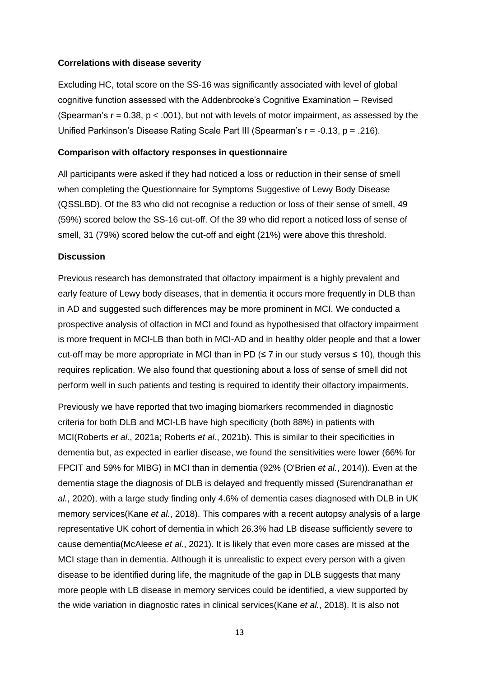### **Correlations with disease severity**

Excluding HC, total score on the SS-16 was significantly associated with level of global cognitive function assessed with the Addenbrooke's Cognitive Examination – Revised (Spearman's  $r = 0.38$ ,  $p < .001$ ), but not with levels of motor impairment, as assessed by the Unified Parkinson's Disease Rating Scale Part III (Spearman's  $r = -0.13$ ,  $p = .216$ ).

### **Comparison with olfactory responses in questionnaire**

All participants were asked if they had noticed a loss or reduction in their sense of smell when completing the Questionnaire for Symptoms Suggestive of Lewy Body Disease (QSSLBD). Of the 83 who did not recognise a reduction or loss of their sense of smell, 49 (59%) scored below the SS-16 cut-off. Of the 39 who did report a noticed loss of sense of smell, 31 (79%) scored below the cut-off and eight (21%) were above this threshold.

### **Discussion**

Previous research has demonstrated that olfactory impairment is a highly prevalent and early feature of Lewy body diseases, that in dementia it occurs more frequently in DLB than in AD and suggested such differences may be more prominent in MCI. We conducted a prospective analysis of olfaction in MCI and found as hypothesised that olfactory impairment is more frequent in MCI-LB than both in MCI-AD and in healthy older people and that a lower cut-off may be more appropriate in MCI than in PD ( $\leq$  7 in our study versus  $\leq$  10), though this requires replication. We also found that questioning about a loss of sense of smell did not perform well in such patients and testing is required to identify their olfactory impairments.

Previously we have reported that two imaging biomarkers recommended in diagnostic criteria for both DLB and MCI-LB have high specificity (both 88%) in patients with MCI(Roberts *et al.*, 2021a; Roberts *et al.*, 2021b). This is similar to their specificities in dementia but, as expected in earlier disease, we found the sensitivities were lower (66% for FPCIT and 59% for MIBG) in MCI than in dementia (92% (O'Brien *et al.*, 2014)). Even at the dementia stage the diagnosis of DLB is delayed and frequently missed (Surendranathan *et al.*, 2020), with a large study finding only 4.6% of dementia cases diagnosed with DLB in UK memory services(Kane *et al.*, 2018). This compares with a recent autopsy analysis of a large representative UK cohort of dementia in which 26.3% had LB disease sufficiently severe to cause dementia(McAleese *et al.*, 2021). It is likely that even more cases are missed at the MCI stage than in dementia. Although it is unrealistic to expect every person with a given disease to be identified during life, the magnitude of the gap in DLB suggests that many more people with LB disease in memory services could be identified, a view supported by the wide variation in diagnostic rates in clinical services(Kane *et al.*, 2018). It is also not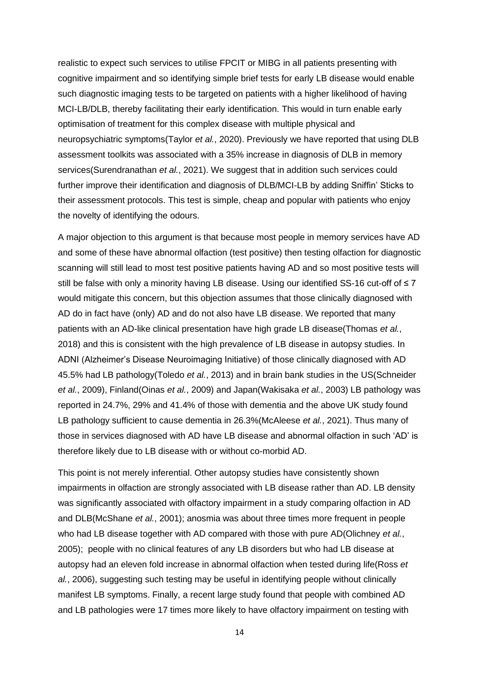realistic to expect such services to utilise FPCIT or MIBG in all patients presenting with cognitive impairment and so identifying simple brief tests for early LB disease would enable such diagnostic imaging tests to be targeted on patients with a higher likelihood of having MCI-LB/DLB, thereby facilitating their early identification. This would in turn enable early optimisation of treatment for this complex disease with multiple physical and neuropsychiatric symptoms(Taylor *et al.*, 2020). Previously we have reported that using DLB assessment toolkits was associated with a 35% increase in diagnosis of DLB in memory services(Surendranathan *et al.*, 2021). We suggest that in addition such services could further improve their identification and diagnosis of DLB/MCI-LB by adding Sniffin' Sticks to their assessment protocols. This test is simple, cheap and popular with patients who enjoy the novelty of identifying the odours.

A major objection to this argument is that because most people in memory services have AD and some of these have abnormal olfaction (test positive) then testing olfaction for diagnostic scanning will still lead to most test positive patients having AD and so most positive tests will still be false with only a minority having LB disease. Using our identified SS-16 cut-off of ≤ 7 would mitigate this concern, but this objection assumes that those clinically diagnosed with AD do in fact have (only) AD and do not also have LB disease. We reported that many patients with an AD-like clinical presentation have high grade LB disease(Thomas *et al.*, 2018) and this is consistent with the high prevalence of LB disease in autopsy studies. In ADNI (Alzheimer's Disease Neuroimaging Initiative) of those clinically diagnosed with AD 45.5% had LB pathology(Toledo *et al.*, 2013) and in brain bank studies in the US(Schneider *et al.*, 2009), Finland(Oinas *et al.*, 2009) and Japan(Wakisaka *et al.*, 2003) LB pathology was reported in 24.7%, 29% and 41.4% of those with dementia and the above UK study found LB pathology sufficient to cause dementia in 26.3%(McAleese *et al.*, 2021). Thus many of those in services diagnosed with AD have LB disease and abnormal olfaction in such 'AD' is therefore likely due to LB disease with or without co-morbid AD.

This point is not merely inferential. Other autopsy studies have consistently shown impairments in olfaction are strongly associated with LB disease rather than AD. LB density was significantly associated with olfactory impairment in a study comparing olfaction in AD and DLB(McShane *et al.*, 2001); anosmia was about three times more frequent in people who had LB disease together with AD compared with those with pure AD(Olichney *et al.*, 2005); people with no clinical features of any LB disorders but who had LB disease at autopsy had an eleven fold increase in abnormal olfaction when tested during life(Ross *et al.*, 2006), suggesting such testing may be useful in identifying people without clinically manifest LB symptoms. Finally, a recent large study found that people with combined AD and LB pathologies were 17 times more likely to have olfactory impairment on testing with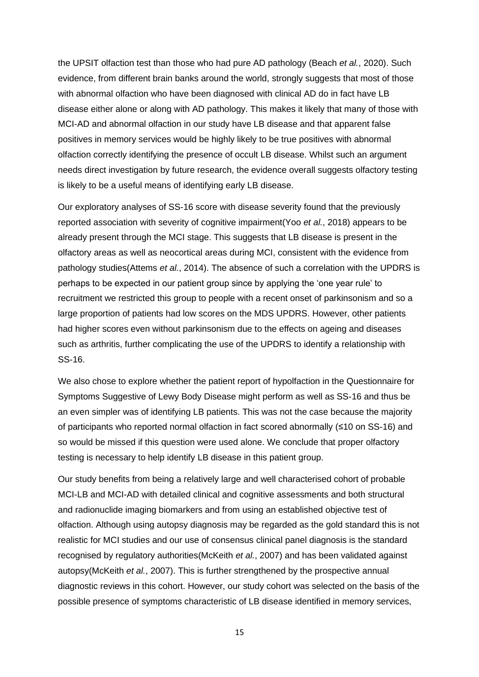the UPSIT olfaction test than those who had pure AD pathology (Beach *et al.*, 2020). Such evidence, from different brain banks around the world, strongly suggests that most of those with abnormal olfaction who have been diagnosed with clinical AD do in fact have LB disease either alone or along with AD pathology. This makes it likely that many of those with MCI-AD and abnormal olfaction in our study have LB disease and that apparent false positives in memory services would be highly likely to be true positives with abnormal olfaction correctly identifying the presence of occult LB disease. Whilst such an argument needs direct investigation by future research, the evidence overall suggests olfactory testing is likely to be a useful means of identifying early LB disease.

Our exploratory analyses of SS-16 score with disease severity found that the previously reported association with severity of cognitive impairment(Yoo *et al.*, 2018) appears to be already present through the MCI stage. This suggests that LB disease is present in the olfactory areas as well as neocortical areas during MCI, consistent with the evidence from pathology studies(Attems *et al.*, 2014). The absence of such a correlation with the UPDRS is perhaps to be expected in our patient group since by applying the 'one year rule' to recruitment we restricted this group to people with a recent onset of parkinsonism and so a large proportion of patients had low scores on the MDS UPDRS. However, other patients had higher scores even without parkinsonism due to the effects on ageing and diseases such as arthritis, further complicating the use of the UPDRS to identify a relationship with SS-16.

We also chose to explore whether the patient report of hypolfaction in the Questionnaire for Symptoms Suggestive of Lewy Body Disease might perform as well as SS-16 and thus be an even simpler was of identifying LB patients. This was not the case because the majority of participants who reported normal olfaction in fact scored abnormally (≤10 on SS-16) and so would be missed if this question were used alone. We conclude that proper olfactory testing is necessary to help identify LB disease in this patient group.

Our study benefits from being a relatively large and well characterised cohort of probable MCI-LB and MCI-AD with detailed clinical and cognitive assessments and both structural and radionuclide imaging biomarkers and from using an established objective test of olfaction. Although using autopsy diagnosis may be regarded as the gold standard this is not realistic for MCI studies and our use of consensus clinical panel diagnosis is the standard recognised by regulatory authorities(McKeith *et al.*, 2007) and has been validated against autopsy(McKeith *et al.*, 2007). This is further strengthened by the prospective annual diagnostic reviews in this cohort. However, our study cohort was selected on the basis of the possible presence of symptoms characteristic of LB disease identified in memory services,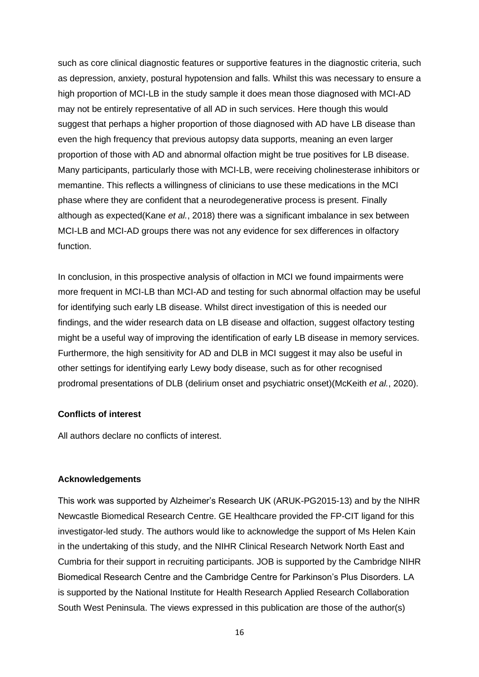such as core clinical diagnostic features or supportive features in the diagnostic criteria, such as depression, anxiety, postural hypotension and falls. Whilst this was necessary to ensure a high proportion of MCI-LB in the study sample it does mean those diagnosed with MCI-AD may not be entirely representative of all AD in such services. Here though this would suggest that perhaps a higher proportion of those diagnosed with AD have LB disease than even the high frequency that previous autopsy data supports, meaning an even larger proportion of those with AD and abnormal olfaction might be true positives for LB disease. Many participants, particularly those with MCI-LB, were receiving cholinesterase inhibitors or memantine. This reflects a willingness of clinicians to use these medications in the MCI phase where they are confident that a neurodegenerative process is present. Finally although as expected(Kane *et al.*, 2018) there was a significant imbalance in sex between MCI-LB and MCI-AD groups there was not any evidence for sex differences in olfactory function.

In conclusion, in this prospective analysis of olfaction in MCI we found impairments were more frequent in MCI-LB than MCI-AD and testing for such abnormal olfaction may be useful for identifying such early LB disease. Whilst direct investigation of this is needed our findings, and the wider research data on LB disease and olfaction, suggest olfactory testing might be a useful way of improving the identification of early LB disease in memory services. Furthermore, the high sensitivity for AD and DLB in MCI suggest it may also be useful in other settings for identifying early Lewy body disease, such as for other recognised prodromal presentations of DLB (delirium onset and psychiatric onset)(McKeith *et al.*, 2020).

### **Conflicts of interest**

All authors declare no conflicts of interest.

### **Acknowledgements**

This work was supported by Alzheimer's Research UK (ARUK-PG2015-13) and by the NIHR Newcastle Biomedical Research Centre. GE Healthcare provided the FP-CIT ligand for this investigator-led study. The authors would like to acknowledge the support of Ms Helen Kain in the undertaking of this study, and the NIHR Clinical Research Network North East and Cumbria for their support in recruiting participants. JOB is supported by the Cambridge NIHR Biomedical Research Centre and the Cambridge Centre for Parkinson's Plus Disorders. LA is supported by the National Institute for Health Research Applied Research Collaboration South West Peninsula. The views expressed in this publication are those of the author(s)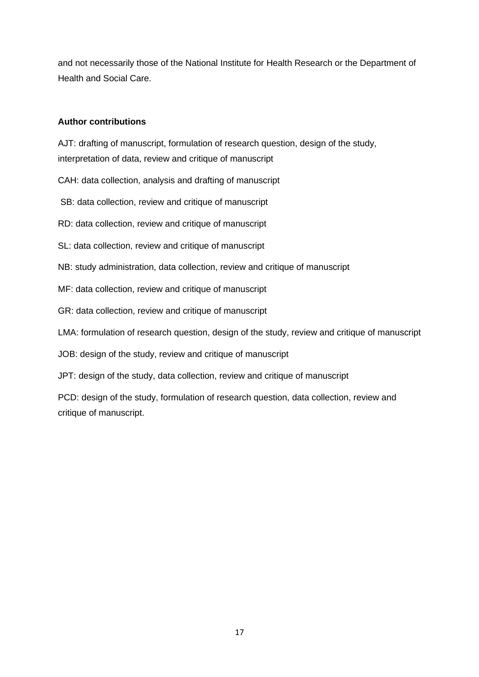and not necessarily those of the National Institute for Health Research or the Department of Health and Social Care.

# **Author contributions**

AJT: drafting of manuscript, formulation of research question, design of the study,

interpretation of data, review and critique of manuscript

CAH: data collection, analysis and drafting of manuscript

SB: data collection, review and critique of manuscript

RD: data collection, review and critique of manuscript

SL: data collection, review and critique of manuscript

NB: study administration, data collection, review and critique of manuscript

MF: data collection, review and critique of manuscript

GR: data collection, review and critique of manuscript

LMA: formulation of research question, design of the study, review and critique of manuscript

JOB: design of the study, review and critique of manuscript

JPT: design of the study, data collection, review and critique of manuscript

PCD: design of the study, formulation of research question, data collection, review and critique of manuscript.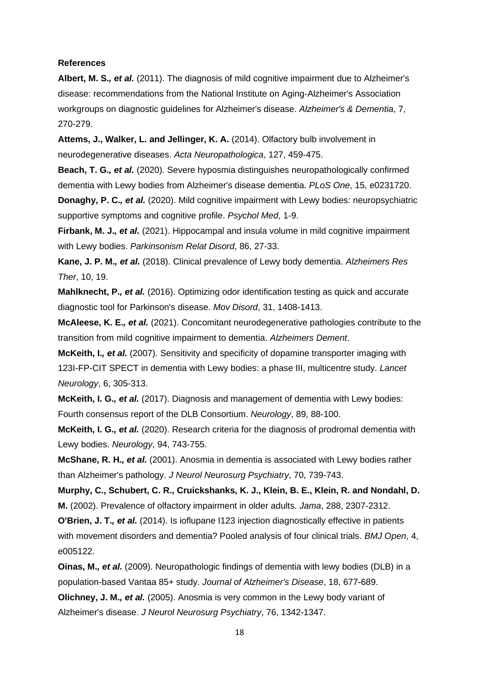#### **References**

**Albert, M. S.***, et al.* (2011). The diagnosis of mild cognitive impairment due to Alzheimer's disease: recommendations from the National Institute on Aging-Alzheimer's Association workgroups on diagnostic guidelines for Alzheimer's disease. *Alzheimer's & Dementia*, 7, 270-279.

**Attems, J., Walker, L. and Jellinger, K. A.** (2014). Olfactory bulb involvement in neurodegenerative diseases. *Acta Neuropathologica*, 127, 459-475.

**Beach, T. G.***, et al.* (2020). Severe hyposmia distinguishes neuropathologically confirmed dementia with Lewy bodies from Alzheimer's disease dementia. *PLoS One*, 15, e0231720.

**Donaghy, P. C.***, et al.* (2020). Mild cognitive impairment with Lewy bodies: neuropsychiatric supportive symptoms and cognitive profile. *Psychol Med*, 1-9.

**Firbank, M. J.***, et al.* (2021). Hippocampal and insula volume in mild cognitive impairment with Lewy bodies. *Parkinsonism Relat Disord*, 86, 27-33.

**Kane, J. P. M.***, et al.* (2018). Clinical prevalence of Lewy body dementia. *Alzheimers Res Ther*, 10, 19.

**Mahlknecht, P.***, et al.* (2016). Optimizing odor identification testing as quick and accurate diagnostic tool for Parkinson's disease. *Mov Disord*, 31, 1408-1413.

**McAleese, K. E.***, et al.* (2021). Concomitant neurodegenerative pathologies contribute to the transition from mild cognitive impairment to dementia. *Alzheimers Dement*.

**McKeith, I.***, et al.* (2007). Sensitivity and specificity of dopamine transporter imaging with 123I-FP-CIT SPECT in dementia with Lewy bodies: a phase III, multicentre study. *Lancet Neurology*, 6, 305-313.

**McKeith, I. G.***, et al.* (2017). Diagnosis and management of dementia with Lewy bodies: Fourth consensus report of the DLB Consortium. *Neurology*, 89, 88-100.

**McKeith, I. G.***, et al.* (2020). Research criteria for the diagnosis of prodromal dementia with Lewy bodies. *Neurology*, 94, 743-755.

**McShane, R. H.***, et al.* (2001). Anosmia in dementia is associated with Lewy bodies rather than Alzheimer's pathology. *J Neurol Neurosurg Psychiatry*, 70, 739-743.

**Murphy, C., Schubert, C. R., Cruickshanks, K. J., Klein, B. E., Klein, R. and Nondahl, D. M.** (2002). Prevalence of olfactory impairment in older adults. *Jama*, 288, 2307-2312.

**O'Brien, J. T.***, et al.* (2014). Is ioflupane I123 injection diagnostically effective in patients with movement disorders and dementia? Pooled analysis of four clinical trials. *BMJ Open*, 4, e005122.

**Oinas, M.***, et al.* (2009). Neuropathologic findings of dementia with lewy bodies (DLB) in a population-based Vantaa 85+ study. *Journal of Alzheimer's Disease*, 18, 677-689.

**Olichney, J. M.***, et al.* (2005). Anosmia is very common in the Lewy body variant of Alzheimer's disease. *J Neurol Neurosurg Psychiatry*, 76, 1342-1347.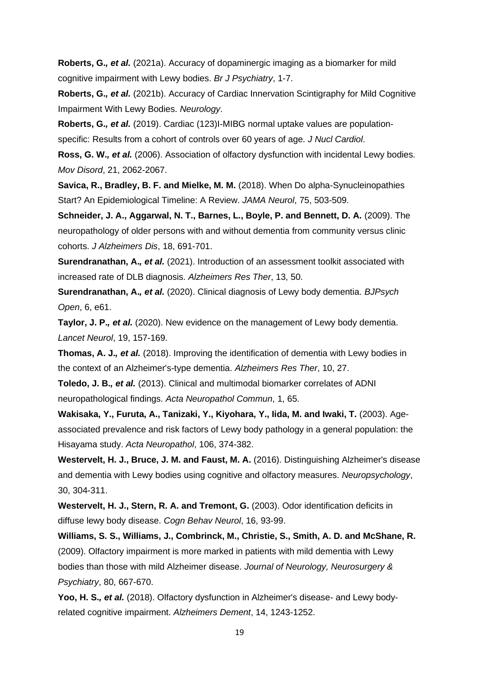**Roberts, G.***, et al.* (2021a). Accuracy of dopaminergic imaging as a biomarker for mild cognitive impairment with Lewy bodies. *Br J Psychiatry*, 1-7.

**Roberts, G.***, et al.* (2021b). Accuracy of Cardiac Innervation Scintigraphy for Mild Cognitive Impairment With Lewy Bodies. *Neurology*.

**Roberts, G.***, et al.* (2019). Cardiac (123)I-MIBG normal uptake values are population-

specific: Results from a cohort of controls over 60 years of age. *J Nucl Cardiol*.

**Ross, G. W.***, et al.* (2006). Association of olfactory dysfunction with incidental Lewy bodies. *Mov Disord*, 21, 2062-2067.

**Savica, R., Bradley, B. F. and Mielke, M. M.** (2018). When Do alpha-Synucleinopathies Start? An Epidemiological Timeline: A Review. *JAMA Neurol*, 75, 503-509.

**Schneider, J. A., Aggarwal, N. T., Barnes, L., Boyle, P. and Bennett, D. A.** (2009). The neuropathology of older persons with and without dementia from community versus clinic cohorts. *J Alzheimers Dis*, 18, 691-701.

**Surendranathan, A.***, et al.* (2021). Introduction of an assessment toolkit associated with increased rate of DLB diagnosis. *Alzheimers Res Ther*, 13, 50.

**Surendranathan, A.***, et al.* (2020). Clinical diagnosis of Lewy body dementia. *BJPsych Open*, 6, e61.

**Taylor, J. P.***, et al.* (2020). New evidence on the management of Lewy body dementia. *Lancet Neurol*, 19, 157-169.

**Thomas, A. J.***, et al.* (2018). Improving the identification of dementia with Lewy bodies in the context of an Alzheimer's-type dementia. *Alzheimers Res Ther*, 10, 27.

**Toledo, J. B.***, et al.* (2013). Clinical and multimodal biomarker correlates of ADNI neuropathological findings. *Acta Neuropathol Commun*, 1, 65.

**Wakisaka, Y., Furuta, A., Tanizaki, Y., Kiyohara, Y., Iida, M. and Iwaki, T.** (2003). Ageassociated prevalence and risk factors of Lewy body pathology in a general population: the Hisayama study. *Acta Neuropathol*, 106, 374-382.

**Westervelt, H. J., Bruce, J. M. and Faust, M. A.** (2016). Distinguishing Alzheimer's disease and dementia with Lewy bodies using cognitive and olfactory measures. *Neuropsychology*, 30, 304-311.

**Westervelt, H. J., Stern, R. A. and Tremont, G.** (2003). Odor identification deficits in diffuse lewy body disease. *Cogn Behav Neurol*, 16, 93-99.

**Williams, S. S., Williams, J., Combrinck, M., Christie, S., Smith, A. D. and McShane, R.** (2009). Olfactory impairment is more marked in patients with mild dementia with Lewy bodies than those with mild Alzheimer disease. *Journal of Neurology, Neurosurgery & Psychiatry*, 80, 667-670.

**Yoo, H. S.***, et al.* (2018). Olfactory dysfunction in Alzheimer's disease- and Lewy bodyrelated cognitive impairment. *Alzheimers Dement*, 14, 1243-1252.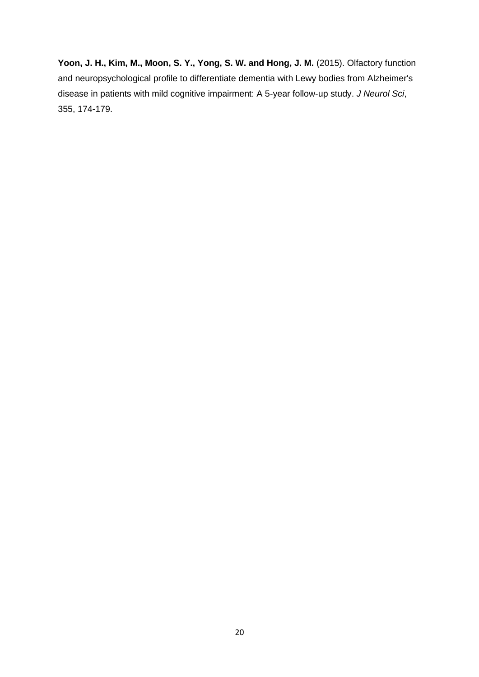**Yoon, J. H., Kim, M., Moon, S. Y., Yong, S. W. and Hong, J. M.** (2015). Olfactory function and neuropsychological profile to differentiate dementia with Lewy bodies from Alzheimer's disease in patients with mild cognitive impairment: A 5-year follow-up study. *J Neurol Sci*, 355, 174-179.